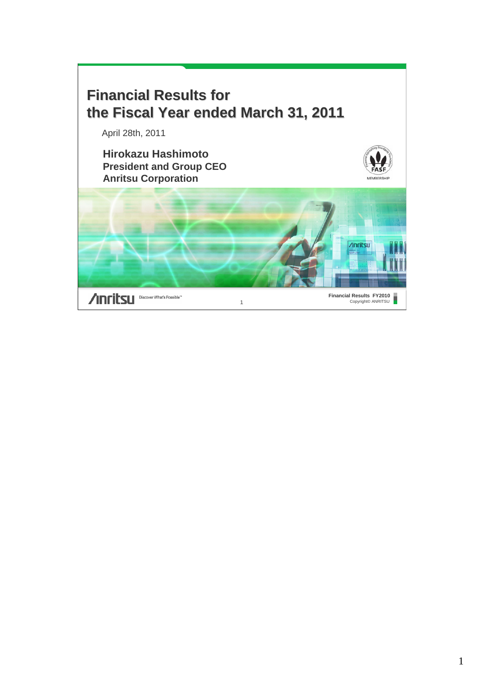

**Anritsu** Discover What's Possible"

**Financial Results FY2010**<br>Copyright© ANRITSU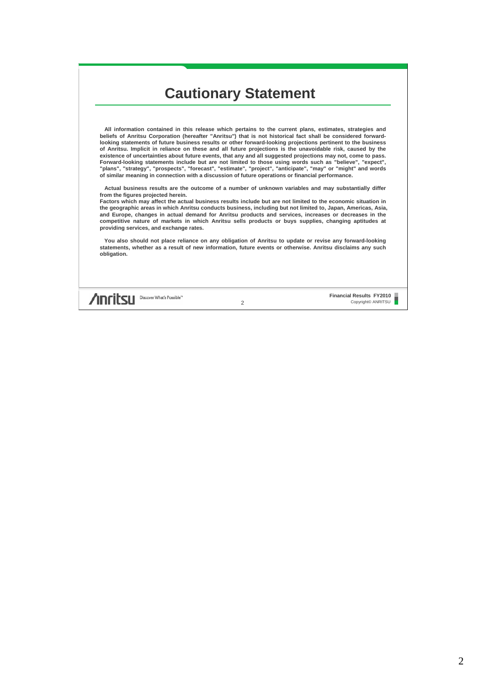## **Cautionary Statement**

**All information contained in this release which pertains to the current plans, estimates, strategies and beliefs of Anritsu Corporation (hereafter "Anritsu") that is not historical fact shall be considered forwardlooking statements of future business results or other forward-looking projections pertinent to the business of Anritsu. Implicit in reliance on these and all future projections is the unavoidable risk, caused by the existence of uncertainties about future events, that any and all suggested projections may not, come to pass. Forward-looking statements include but are not limited to those using words such as "believe", "expect", "plans", "strategy", "prospects", "forecast", "estimate", "project", "anticipate", "may" or "might" and words of similar meaning in connection with a discussion of future operations or financial performance.**

**Actual business results are the outcome of a number of unknown variables and may substantially differ from the figures projected herein.**

**Factors which may affect the actual business results include but are not limited to the economic situation in the geographic areas in which Anritsu conducts business, including but not limited to, Japan, Americas, Asia, and Europe, changes in actual demand for Anritsu products and services, increases or decreases in the competitive nature of markets in which Anritsu sells products or buys supplies, changing aptitudes at providing services, and exchange rates.**

**You also should not place reliance on any obligation of Anritsu to update or revise any forward-looking statements, whether as a result of new information, future events or otherwise. Anritsu disclaims any such obligation.** 

**Anritsu** Discover What's Possible"

**Financial Results FY2010** 2 Copyright© ANRITSU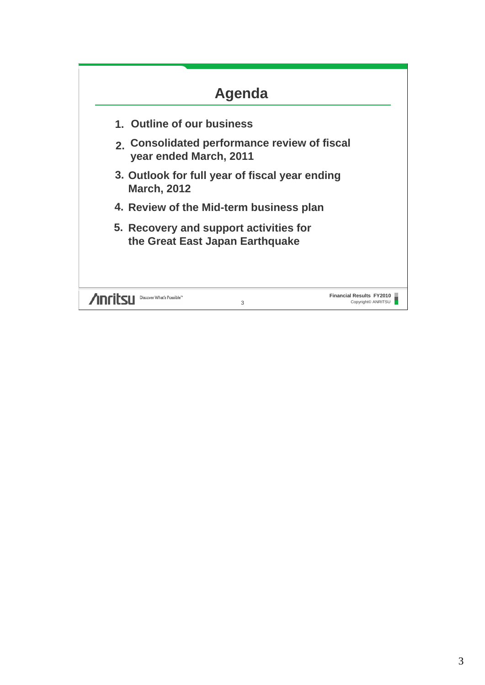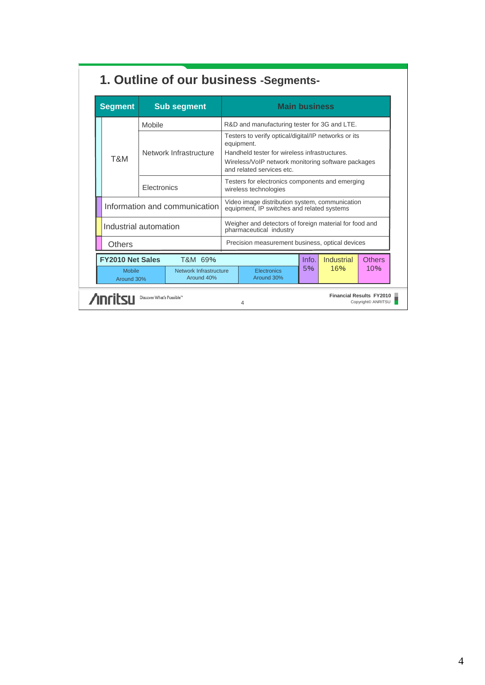| <b>Segment</b><br><b>Sub segment</b>                                              |        |                                      | <b>Main business</b>                                                                         |                                                                                                                                                                                                        |    |     |     |
|-----------------------------------------------------------------------------------|--------|--------------------------------------|----------------------------------------------------------------------------------------------|--------------------------------------------------------------------------------------------------------------------------------------------------------------------------------------------------------|----|-----|-----|
|                                                                                   | Mobile |                                      | R&D and manufacturing tester for 3G and LTE.                                                 |                                                                                                                                                                                                        |    |     |     |
| Network Infrastructure<br>T&M                                                     |        |                                      |                                                                                              | Testers to verify optical/digital/IP networks or its<br>equipment.<br>Handheld tester for wireless infrastructures.<br>Wireless/VoIP network monitoring software packages<br>and related services etc. |    |     |     |
| Electronics                                                                       |        |                                      | Testers for electronics components and emerging<br>wireless technologies                     |                                                                                                                                                                                                        |    |     |     |
| Information and communication                                                     |        |                                      | Video image distribution system, communication<br>equipment, IP switches and related systems |                                                                                                                                                                                                        |    |     |     |
| Industrial automation                                                             |        |                                      | Weigher and detectors of foreign material for food and<br>pharmaceutical industry            |                                                                                                                                                                                                        |    |     |     |
| <b>Others</b>                                                                     |        |                                      | Precision measurement business, optical devices                                              |                                                                                                                                                                                                        |    |     |     |
| <b>FY2010 Net Sales</b><br>Info.<br><b>Industrial</b><br><b>Others</b><br>T&M 69% |        |                                      |                                                                                              |                                                                                                                                                                                                        |    |     |     |
| <b>Mobile</b><br>Around 30%                                                       |        | Network Infrastructure<br>Around 40% |                                                                                              | <b>Electronics</b><br>Around 30%                                                                                                                                                                       | 5% | 16% | 10% |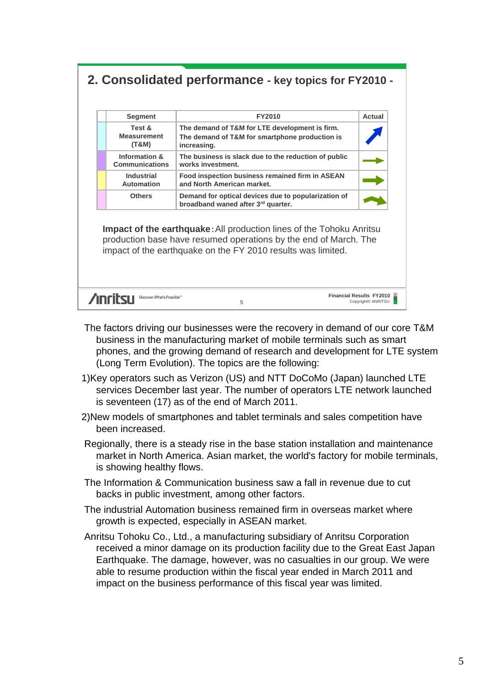### **2. Consolidated performance - key topics for FY2010 -**

| <b>Segment</b>                         | <b>FY2010</b>                                                                                                   | Actual |
|----------------------------------------|-----------------------------------------------------------------------------------------------------------------|--------|
| Test &<br><b>Measurement</b><br>(T&M)  | The demand of T&M for LTE development is firm.<br>The demand of T&M for smartphone production is<br>increasing. |        |
| Information &<br><b>Communications</b> | The business is slack due to the reduction of public<br>works investment.                                       |        |
| <b>Industrial</b><br><b>Automation</b> | Food inspection business remained firm in ASEAN<br>and North American market.                                   |        |
| <b>Others</b>                          | Demand for optical devices due to popularization of<br>broadband waned after 3rd quarter.                       |        |

**Impact of the earthquake:** All production lines of the Tohoku Anritsu production base have resumed operations by the end of March. The impact of the earthquake on the FY 2010 results was limited.

| <b>Anritsu</b> Discover What's Possible" | <b>Financial Results FY2010</b><br>Copyright© ANRITSU |
|------------------------------------------|-------------------------------------------------------|
|                                          |                                                       |

- The factors driving our businesses were the recovery in demand of our core T&M business in the manufacturing market of mobile terminals such as smart phones, and the growing demand of research and development for LTE system (Long Term Evolution). The topics are the following:
- 1)Key operators such as Verizon (US) and NTT DoCoMo (Japan) launched LTE services December last year. The number of operators LTE network launched is seventeen (17) as of the end of March 2011.
- 2)New models of smartphones and tablet terminals and sales competition have been increased.
- Regionally, there is a steady rise in the base station installation and maintenance market in North America. Asian market, the world's factory for mobile terminals, is showing healthy flows.
- The Information & Communication business saw a fall in revenue due to cut backs in public investment, among other factors.
- The industrial Automation business remained firm in overseas market where growth is expected, especially in ASEAN market.
- Anritsu Tohoku Co., Ltd., a manufacturing subsidiary of Anritsu Corporation received a minor damage on its production facility due to the Great East Japan Earthquake. The damage, however, was no casualties in our group. We were able to resume production within the fiscal year ended in March 2011 and impact on the business performance of this fiscal year was limited.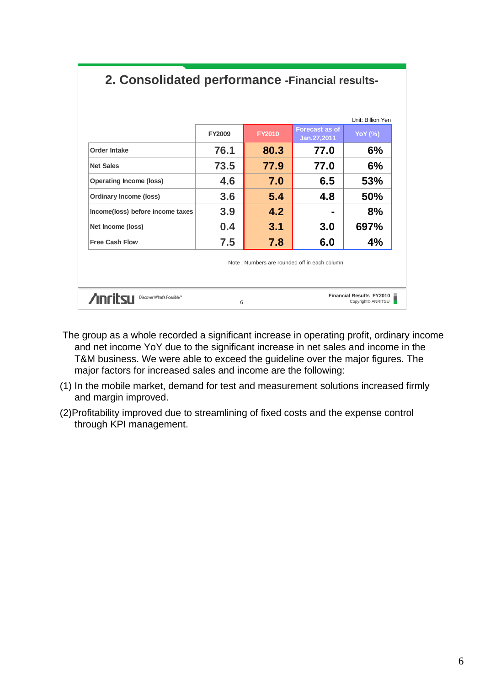| 76.1<br>73.5<br>4.6<br>3.6 | 80.3<br>77.9<br>7.0 | 77.0<br>77.0<br>6.5 | 6%<br>6%<br>53%                              |
|----------------------------|---------------------|---------------------|----------------------------------------------|
|                            |                     |                     |                                              |
|                            |                     |                     |                                              |
|                            |                     |                     |                                              |
|                            | 5.4                 | 4.8                 | <b>50%</b>                                   |
| 3.9                        | 4.2                 | -                   | 8%                                           |
| 0.4                        | 3.1                 | 3.0                 | 697%                                         |
| 7.5                        | 7.8                 | 6.0                 | 4%                                           |
|                            |                     |                     | <b>Financial Results FY2010</b>              |
|                            |                     | 6                   | Note: Numbers are rounded off in each column |

# **2. Consolidated performance -Financial results-**

- The group as a whole recorded a significant increase in operating profit, ordinary income and net income YoY due to the significant increase in net sales and income in the T&M business. We were able to exceed the guideline over the major figures. The major factors for increased sales and income are the following:
- (1) In the mobile market, demand for test and measurement solutions increased firmly and margin improved.
- (2)Profitability improved due to streamlining of fixed costs and the expense control through KPI management.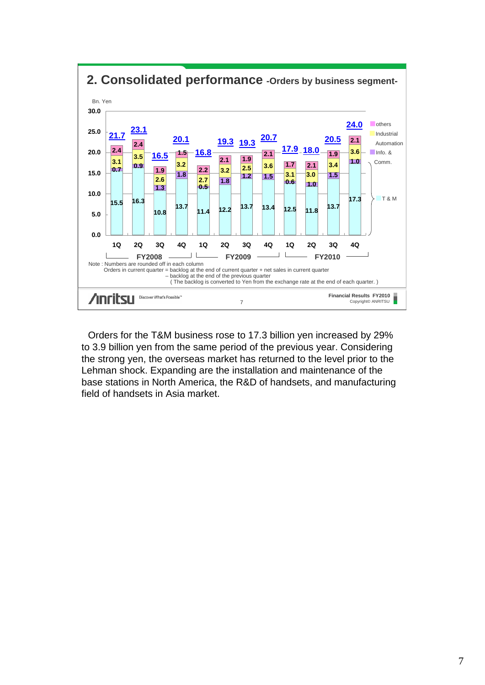

**2. Consolidated performance -Orders by business segment-**

Orders for the T&M business rose to 17.3 billion yen increased by 29% to 3.9 billion yen from the same period of the previous year. Considering the strong yen, the overseas market has returned to the level prior to the Lehman shock. Expanding are the installation and maintenance of the base stations in North America, the R&D of handsets, and manufacturing field of handsets in Asia market.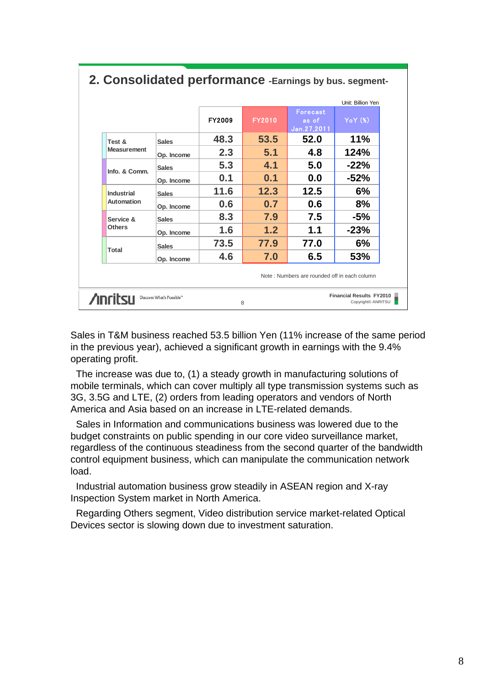|                                                                                                           |              |               |               |                                  | Unit: Billion Yen |  |  |
|-----------------------------------------------------------------------------------------------------------|--------------|---------------|---------------|----------------------------------|-------------------|--|--|
|                                                                                                           |              | <b>FY2009</b> | <b>FY2010</b> | Forecast<br>as of<br>Jan.27,2011 | YoY(%)            |  |  |
| Test &                                                                                                    | <b>Sales</b> | 48.3          | 53.5          | 52.0                             | 11%               |  |  |
| <b>Measurement</b>                                                                                        | Op. Income   | 2.3           | 5.1           | 4.8                              | 124%              |  |  |
| Info. & Comm.                                                                                             | <b>Sales</b> | 5.3           | 4.1           | 5.0                              | $-22%$            |  |  |
|                                                                                                           | Op. Income   | 0.1           | 0.1           | 0.0                              | -52%              |  |  |
| Industrial                                                                                                | <b>Sales</b> | 11.6          | 12.3          | 12.5                             | 6%                |  |  |
| Automation                                                                                                | Op. Income   | 0.6           | 0.7           | 0.6                              | 8%                |  |  |
| Service &                                                                                                 | <b>Sales</b> | 8.3           | 7.9           | 7.5                              | $-5%$             |  |  |
| <b>Others</b>                                                                                             | Op. Income   | 1.6           | 1.2           | 1.1                              | $-23%$            |  |  |
|                                                                                                           | <b>Sales</b> | 73.5          | 77.9          | 77.0                             | 6%                |  |  |
| <b>Total</b>                                                                                              | Op. Income   | 4.6           | 7.0           | 6.5                              | 53%               |  |  |
| Note: Numbers are rounded off in each column                                                              |              |               |               |                                  |                   |  |  |
| <b>Financial Results FY2010</b><br><b>Anritsu</b><br>Discover What's Possible™<br>Copyright© ANRITSU<br>8 |              |               |               |                                  |                   |  |  |

#### **2. Consolidated performance -Earnings by bus. segment-**

Sales in T&M business reached 53.5 billion Yen (11% increase of the same period in the previous year), achieved a significant growth in earnings with the 9.4% operating profit.

The increase was due to, (1) a steady growth in manufacturing solutions of mobile terminals, which can cover multiply all type transmission systems such as 3G, 3.5G and LTE, (2) orders from leading operators and vendors of North America and Asia based on an increase in LTE-related demands.

Sales in Information and communications business was lowered due to the budget constraints on public spending in our core video surveillance market, regardless of the continuous steadiness from the second quarter of the bandwidth control equipment business, which can manipulate the communication network load.

Industrial automation business grow steadily in ASEAN region and X-ray Inspection System market in North America.

Regarding Others segment, Video distribution service market-related Optical Devices sector is slowing down due to investment saturation.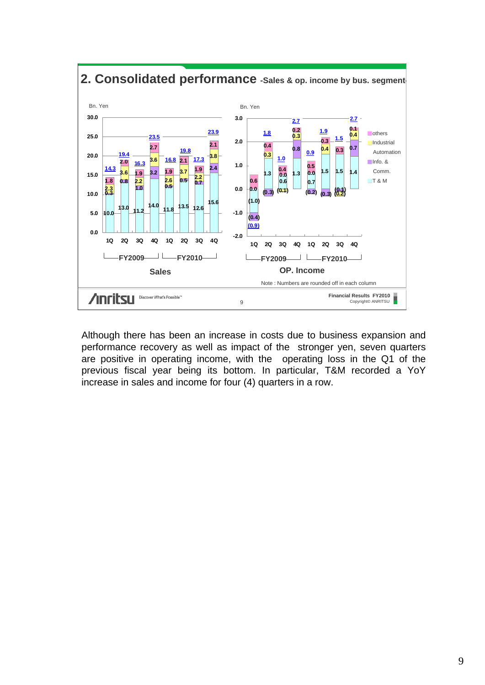

**2. Consolidated performance -Sales & op. income by bus. segment-**

Although there has been an increase in costs due to business expansion and performance recovery as well as impact of the stronger yen, seven quarters are positive in operating income, with the operating loss in the Q1 of the previous fiscal year being its bottom. In particular, T&M recorded a YoY increase in sales and income for four (4) quarters in a row.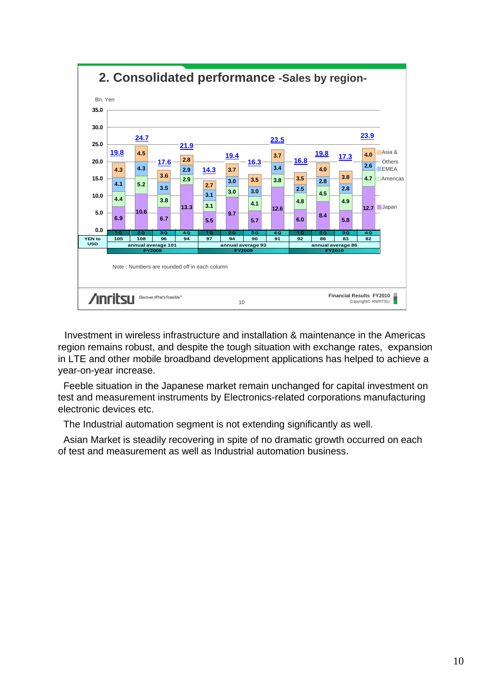

Investment in wireless infrastructure and installation & maintenance in the Americas region remains robust, and despite the tough situation with exchange rates, expansion in LTE and other mobile broadband development applications has helped to achieve a year-on-year increase.

Feeble situation in the Japanese market remain unchanged for capital investment on test and measurement instruments by Electronics-related corporations manufacturing electronic devices etc.

The Industrial automation segment is not extending significantly as well.

Asian Market is steadily recovering in spite of no dramatic growth occurred on each of test and measurement as well as Industrial automation business.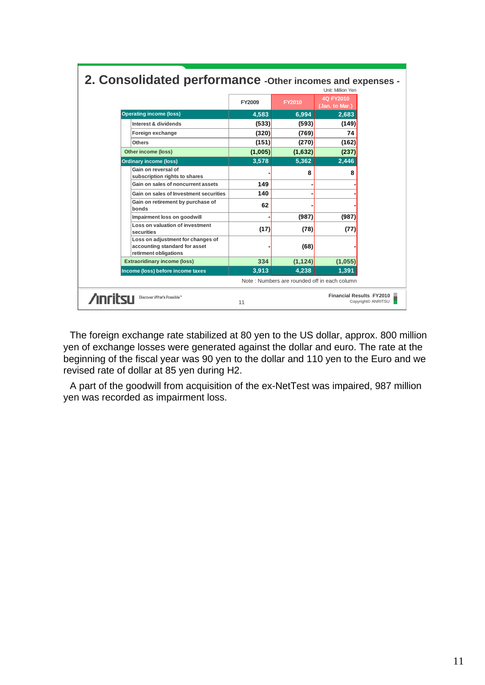|                                                                                             | 2. Consolidated performance - Other incomes and expenses -<br>Unit: Million Yen |                                       |                                              |                    |  |  |  |
|---------------------------------------------------------------------------------------------|---------------------------------------------------------------------------------|---------------------------------------|----------------------------------------------|--------------------|--|--|--|
|                                                                                             | <b>FY2009</b>                                                                   | 4Q FY2010<br>FY2010<br>(Jan. to Mar.) |                                              |                    |  |  |  |
| <b>Operating income (loss)</b>                                                              | 4,583                                                                           | 6,994                                 | 2,683                                        |                    |  |  |  |
| Interest & dividends                                                                        | (533)                                                                           | (593)                                 | (149)                                        |                    |  |  |  |
| Foreign exchange                                                                            | (320)                                                                           | (769)                                 | 74                                           |                    |  |  |  |
| <b>Others</b>                                                                               | (151)                                                                           | (270)                                 | (162)                                        |                    |  |  |  |
| Other income (loss)                                                                         | (1,005)                                                                         | (1,632)                               | (237)                                        |                    |  |  |  |
| <b>Ordinary income (loss)</b>                                                               | 3,578                                                                           | 5,362                                 | 2,446                                        |                    |  |  |  |
| Gain on reversal of<br>subscription rights to shares                                        |                                                                                 | 8                                     | 8                                            |                    |  |  |  |
| Gain on sales of noncurrent assets                                                          | 149                                                                             |                                       |                                              |                    |  |  |  |
| Gain on sales of Investment securities                                                      | 140                                                                             |                                       |                                              |                    |  |  |  |
| Gain on retirement by purchase of<br>bonds                                                  | 62                                                                              |                                       |                                              |                    |  |  |  |
| Impairment loss on goodwill                                                                 |                                                                                 | (987)                                 | (987)                                        |                    |  |  |  |
| Loss on valuation of investment<br>securities                                               | (17)                                                                            | (78)                                  | (77)                                         |                    |  |  |  |
| Loss on adjustment for changes of<br>accounting standard for asset<br>retirment obligations |                                                                                 | (68)                                  |                                              |                    |  |  |  |
| <b>Extraoridinary income (loss)</b>                                                         | 334                                                                             | (1, 124)                              | (1,055)                                      |                    |  |  |  |
| Income (loss) before income taxes                                                           | 3,913                                                                           | 4,238                                 | 1.391                                        |                    |  |  |  |
|                                                                                             |                                                                                 |                                       | Note: Numbers are rounded off in each column |                    |  |  |  |
| <b>Anritsu</b><br>Discover What's Possible™                                                 | 11                                                                              |                                       | <b>Financial Results FY2010</b>              | Copyright© ANRITSU |  |  |  |

### **2. Consolidated performance -Other incomes and expenses -**

The foreign exchange rate stabilized at 80 yen to the US dollar, approx. 800 million yen of exchange losses were generated against the dollar and euro. The rate at the beginning of the fiscal year was 90 yen to the dollar and 110 yen to the Euro and we revised rate of dollar at 85 yen during H2.

A part of the goodwill from acquisition of the ex-NetTest was impaired, 987 million yen was recorded as impairment loss.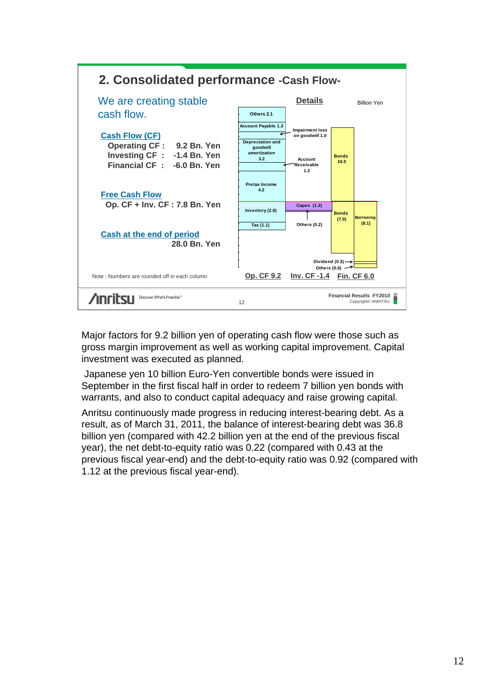

Major factors for 9.2 billion yen of operating cash flow were those such as gross margin improvement as well as working capital improvement. Capital investment was executed as planned.

Japanese yen 10 billion Euro-Yen convertible bonds were issued in September in the first fiscal half in order to redeem 7 billion yen bonds with warrants, and also to conduct capital adequacy and raise growing capital.

Anritsu continuously made progress in reducing interest-bearing debt. As a result, as of March 31, 2011, the balance of interest-bearing debt was 36.8 billion yen (compared with 42.2 billion yen at the end of the previous fiscal year), the net debt-to-equity ratio was 0.22 (compared with 0.43 at the previous fiscal year-end) and the debt-to-equity ratio was 0.92 (compared with 1.12 at the previous fiscal year-end).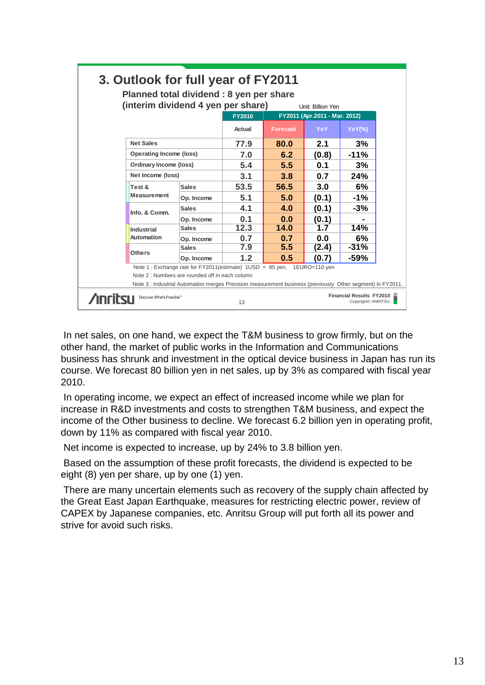| 3. Outlook for full year of FY2011<br>Planned total dividend: 8 yen per share                         |                                                                               |                                                                                                            |        |                                                    |       |           |  |  |  |
|-------------------------------------------------------------------------------------------------------|-------------------------------------------------------------------------------|------------------------------------------------------------------------------------------------------------|--------|----------------------------------------------------|-------|-----------|--|--|--|
|                                                                                                       | (interim dividend 4 yen per share)                                            |                                                                                                            |        |                                                    |       |           |  |  |  |
|                                                                                                       |                                                                               | <b>FY2010</b>                                                                                              |        | Unit: Billion Yen<br>FY2011 (Apr.2011 - Mar. 2012) |       |           |  |  |  |
|                                                                                                       |                                                                               |                                                                                                            | Actual | <b>Forecast</b>                                    | YoY   | $YoY(\%)$ |  |  |  |
|                                                                                                       | <b>Net Sales</b>                                                              |                                                                                                            | 77.9   | 80.0                                               | 2.1   | 3%        |  |  |  |
|                                                                                                       | <b>Operating Income (loss)</b><br>Ordinary Income (loss)<br>Net Income (loss) |                                                                                                            | 7.0    | 6.2                                                | (0.8) | $-11%$    |  |  |  |
|                                                                                                       |                                                                               |                                                                                                            | 5.4    | 5.5                                                | 0.1   | 3%        |  |  |  |
|                                                                                                       |                                                                               |                                                                                                            | 3.1    | 3.8                                                | 0.7   | 24%       |  |  |  |
|                                                                                                       | Test &                                                                        | <b>Sales</b>                                                                                               |        | 56.5                                               | 3.0   | 6%        |  |  |  |
|                                                                                                       | <b>Measurement</b>                                                            | Op. Income                                                                                                 | 5.1    | 5.0                                                | (0.1) | -1%       |  |  |  |
|                                                                                                       |                                                                               | <b>Sales</b>                                                                                               | 4.1    | 4.0                                                | (0.1) | -3%       |  |  |  |
|                                                                                                       | Info. & Comm.<br>Industrial                                                   | Op. Income                                                                                                 | 0.1    | 0.0                                                | (0.1) |           |  |  |  |
|                                                                                                       |                                                                               | <b>Sales</b>                                                                                               | 12.3   | 14.0                                               | 1.7   | 14%       |  |  |  |
|                                                                                                       | Automation                                                                    | Op. Income                                                                                                 | 0.7    | 0.7                                                | 0.0   | 6%        |  |  |  |
|                                                                                                       | <b>Others</b>                                                                 | <b>Sales</b>                                                                                               | 7.9    | 5.5                                                | (2.4) | $-31%$    |  |  |  |
|                                                                                                       |                                                                               | Op. Income                                                                                                 | 1.2    | 0.5                                                | (0.7) | -59%      |  |  |  |
|                                                                                                       |                                                                               | Note 1: Exchange rate for FY2011(estimate) 1USD = 85 yen, 1EURO=110 yen                                    |        |                                                    |       |           |  |  |  |
| Note 2 : Numbers are rounded off in each column                                                       |                                                                               |                                                                                                            |        |                                                    |       |           |  |  |  |
|                                                                                                       |                                                                               | Note 3 : Industrial Automation merges Precision measurement business (previously Other segment) in FY2011. |        |                                                    |       |           |  |  |  |
| <b>Financial Results FY2010</b><br>Discover What's Possible <sup>74</sup><br>Copyright© ANRITSU<br>13 |                                                                               |                                                                                                            |        |                                                    |       |           |  |  |  |

In net sales, on one hand, we expect the T&M business to grow firmly, but on the other hand, the market of public works in the Information and Communications business has shrunk and investment in the optical device business in Japan has run its course. We forecast 80 billion yen in net sales, up by 3% as compared with fiscal year 2010.

In operating income, we expect an effect of increased income while we plan for increase in R&D investments and costs to strengthen T&M business, and expect the income of the Other business to decline. We forecast 6.2 billion yen in operating profit, down by 11% as compared with fiscal year 2010.

Net income is expected to increase, up by 24% to 3.8 billion yen.

Based on the assumption of these profit forecasts, the dividend is expected to be eight (8) yen per share, up by one (1) yen.

There are many uncertain elements such as recovery of the supply chain affected by the Great East Japan Earthquake, measures for restricting electric power, review of CAPEX by Japanese companies, etc. Anritsu Group will put forth all its power and strive for avoid such risks.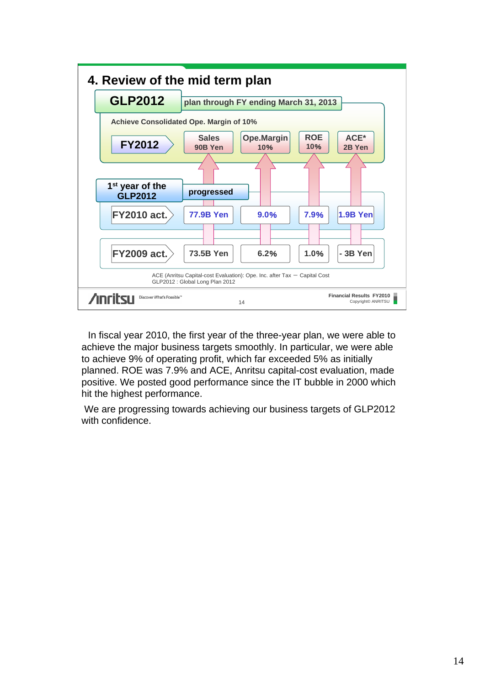

In fiscal year 2010, the first year of the three-year plan, we were able to achieve the major business targets smoothly. In particular, we were able to achieve 9% of operating profit, which far exceeded 5% as initially planned. ROE was 7.9% and ACE, Anritsu capital-cost evaluation, made positive. We posted good performance since the IT bubble in 2000 which hit the highest performance.

We are progressing towards achieving our business targets of GLP2012 with confidence.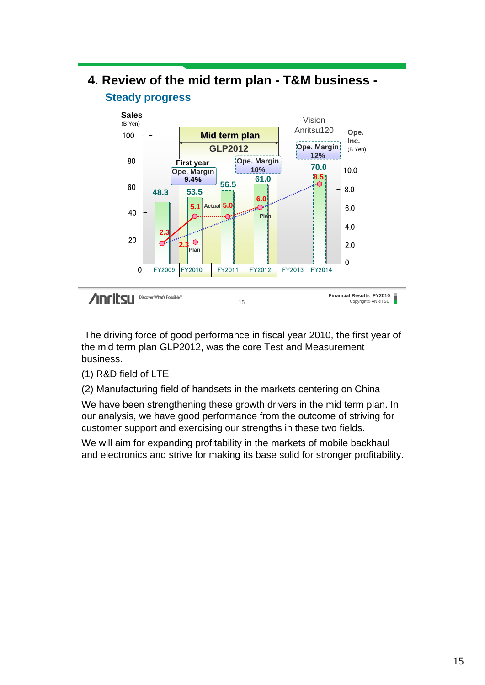

The driving force of good performance in fiscal year 2010, the first year of the mid term plan GLP2012, was the core Test and Measurement business.

- (1) R&D field of LTE
- (2) Manufacturing field of handsets in the markets centering on China

We have been strengthening these growth drivers in the mid term plan. In our analysis, we have good performance from the outcome of striving for customer support and exercising our strengths in these two fields.

We will aim for expanding profitability in the markets of mobile backhaul and electronics and strive for making its base solid for stronger profitability.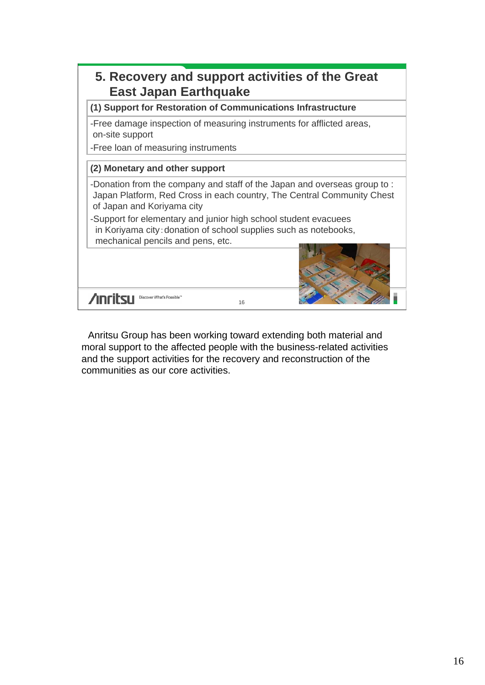

Anritsu Group has been working toward extending both material and moral support to the affected people with the business-related activities and the support activities for the recovery and reconstruction of the communities as our core activities.